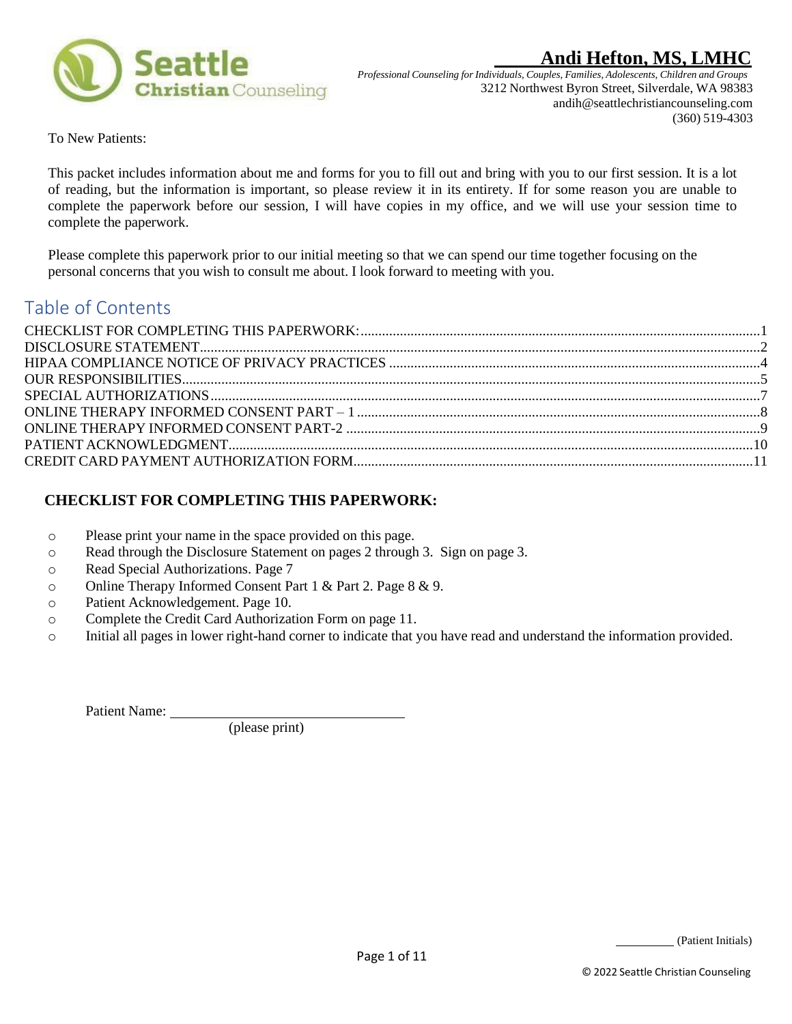



*Professional Counseling forIndividuals, Couples, Families, Adolescents, Children and Groups* 3212 Northwest Byron Street, Silverdale, WA 98383 andih@seattlechristiancounseling.com (360) 519-4303

To New Patients:

This packet includes information about me and forms for you to fill out and bring with you to our first session. It is a lot of reading, but the information is important, so please review it in its entirety. If for some reason you are unable to complete the paperwork before our session, I will have copies in my office, and we will use your session time to complete the paperwork.

Please complete this paperwork prior to our initial meeting so that we can spend our time together focusing on the personal concerns that you wish to consult me about. I look forward to meeting with you.

# Table of Contents

## <span id="page-0-0"></span> **CHECKLIST FOR COMPLETING THIS PAPERWORK:**

- o Please print your name in the space provided on this page.
- o Read through the Disclosure Statement on pages 2 through 3. Sign on page 3.
- o Read Special Authorizations. Page 7
- o Online Therapy Informed Consent Part 1 & Part 2. Page 8 & 9.
- o Patient Acknowledgement. Page 10.
- o Complete the Credit Card Authorization Form on page 11.
- o Initial all pages in lower right-hand corner to indicate that you have read and understand the information provided.

Patient Name:

(please print)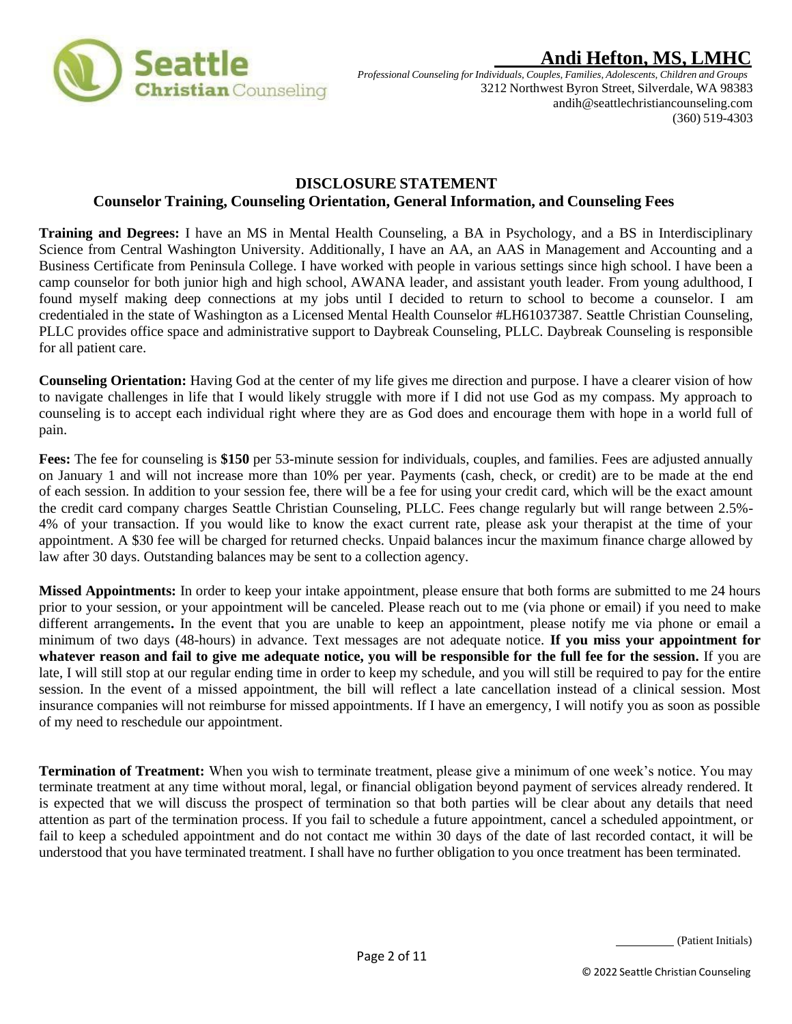<span id="page-1-0"></span>

*Professional Counseling forIndividuals, Couples, Families, Adolescents, Children and Groups* 3212 Northwest Byron Street, Silverdale, WA 98383 andih@seattlechristiancounseling.com (360) 519-4303

## **DISCLOSURE STATEMENT Counselor Training, Counseling Orientation, General Information, and Counseling Fees**

**Training and Degrees:** I have an MS in Mental Health Counseling, a BA in Psychology, and a BS in Interdisciplinary Science from Central Washington University. Additionally, I have an AA, an AAS in Management and Accounting and a Business Certificate from Peninsula College. I have worked with people in various settings since high school. I have been a camp counselor for both junior high and high school, AWANA leader, and assistant youth leader. From young adulthood, I found myself making deep connections at my jobs until I decided to return to school to become a counselor. I am credentialed in the state of Washington as a Licensed Mental Health Counselor #LH61037387. Seattle Christian Counseling, PLLC provides office space and administrative support to Daybreak Counseling, PLLC. Daybreak Counseling is responsible for all patient care.

**Counseling Orientation:** Having God at the center of my life gives me direction and purpose. I have a clearer vision of how to navigate challenges in life that I would likely struggle with more if I did not use God as my compass. My approach to counseling is to accept each individual right where they are as God does and encourage them with hope in a world full of pain.

**Fees:** The fee for counseling is **\$150** per 53-minute session for individuals, couples, and families. Fees are adjusted annually on January 1 and will not increase more than 10% per year. Payments (cash, check, or credit) are to be made at the end of each session. In addition to your session fee, there will be a fee for using your credit card, which will be the exact amount the credit card company charges Seattle Christian Counseling, PLLC. Fees change regularly but will range between 2.5%- 4% of your transaction. If you would like to know the exact current rate, please ask your therapist at the time of your appointment. A \$30 fee will be charged for returned checks. Unpaid balances incur the maximum finance charge allowed by law after 30 days. Outstanding balances may be sent to a collection agency.

**Missed Appointments:** In order to keep your intake appointment, please ensure that both forms are submitted to me 24 hours prior to your session, or your appointment will be canceled. Please reach out to me (via phone or email) if you need to make different arrangements**.** In the event that you are unable to keep an appointment, please notify me via phone or email a minimum of two days (48-hours) in advance. Text messages are not adequate notice. **If you miss your appointment for whatever reason and fail to give me adequate notice, you will be responsible for the full fee for the session.** If you are late, I will still stop at our regular ending time in order to keep my schedule, and you will still be required to pay for the entire session. In the event of a missed appointment, the bill will reflect a late cancellation instead of a clinical session. Most insurance companies will not reimburse for missed appointments. If I have an emergency, I will notify you as soon as possible of my need to reschedule our appointment.

**Termination of Treatment:** When you wish to terminate treatment, please give a minimum of one week's notice. You may terminate treatment at any time without moral, legal, or financial obligation beyond payment of services already rendered. It is expected that we will discuss the prospect of termination so that both parties will be clear about any details that need attention as part of the termination process. If you fail to schedule a future appointment, cancel a scheduled appointment, or fail to keep a scheduled appointment and do not contact me within 30 days of the date of last recorded contact, it will be understood that you have terminated treatment. I shall have no further obligation to you once treatment has been terminated.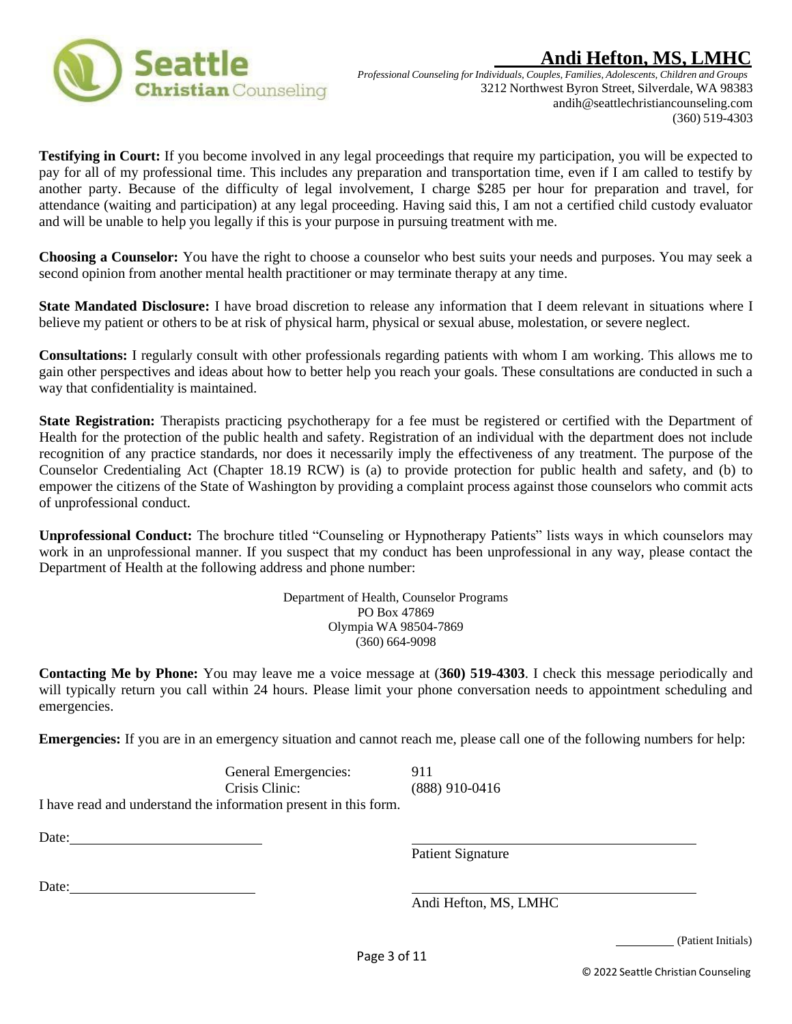



*Professional Counseling forIndividuals, Couples, Families, Adolescents, Children and Groups* 3212 Northwest Byron Street, Silverdale, WA 98383 andih@seattlechristiancounseling.com (360) 519-4303

**Testifying in Court:** If you become involved in any legal proceedings that require my participation, you will be expected to pay for all of my professional time. This includes any preparation and transportation time, even if I am called to testify by another party. Because of the difficulty of legal involvement, I charge \$285 per hour for preparation and travel, for attendance (waiting and participation) at any legal proceeding. Having said this, I am not a certified child custody evaluator and will be unable to help you legally if this is your purpose in pursuing treatment with me.

**Choosing a Counselor:** You have the right to choose a counselor who best suits your needs and purposes. You may seek a second opinion from another mental health practitioner or may terminate therapy at any time.

**State Mandated Disclosure:** I have broad discretion to release any information that I deem relevant in situations where I believe my patient or others to be at risk of physical harm, physical or sexual abuse, molestation, or severe neglect.

**Consultations:** I regularly consult with other professionals regarding patients with whom I am working. This allows me to gain other perspectives and ideas about how to better help you reach your goals. These consultations are conducted in such a way that confidentiality is maintained.

State Registration: Therapists practicing psychotherapy for a fee must be registered or certified with the Department of Health for the protection of the public health and safety. Registration of an individual with the department does not include recognition of any practice standards, nor does it necessarily imply the effectiveness of any treatment. The purpose of the Counselor Credentialing Act (Chapter 18.19 RCW) is (a) to provide protection for public health and safety, and (b) to empower the citizens of the State of Washington by providing a complaint process against those counselors who commit acts of unprofessional conduct.

**Unprofessional Conduct:** The brochure titled "Counseling or Hypnotherapy Patients" lists ways in which counselors may work in an unprofessional manner. If you suspect that my conduct has been unprofessional in any way, please contact the Department of Health at the following address and phone number:

> Department of Health, Counselor Programs PO Box 47869 Olympia WA 98504-7869 (360) 664-9098

**Contacting Me by Phone:** You may leave me a voice message at (**360) 519-4303**. I check this message periodically and will typically return you call within 24 hours. Please limit your phone conversation needs to appointment scheduling and emergencies.

**Emergencies:** If you are in an emergency situation and cannot reach me, please call one of the following numbers for help:

General Emergencies: 911 Crisis Clinic: (888) 910-0416 I have read and understand the information present in this form.

Date:

Patient Signature

Date:

Andi Hefton, MS, LMHC

(Patient Initials)

© 2022 Seattle Christian Counseling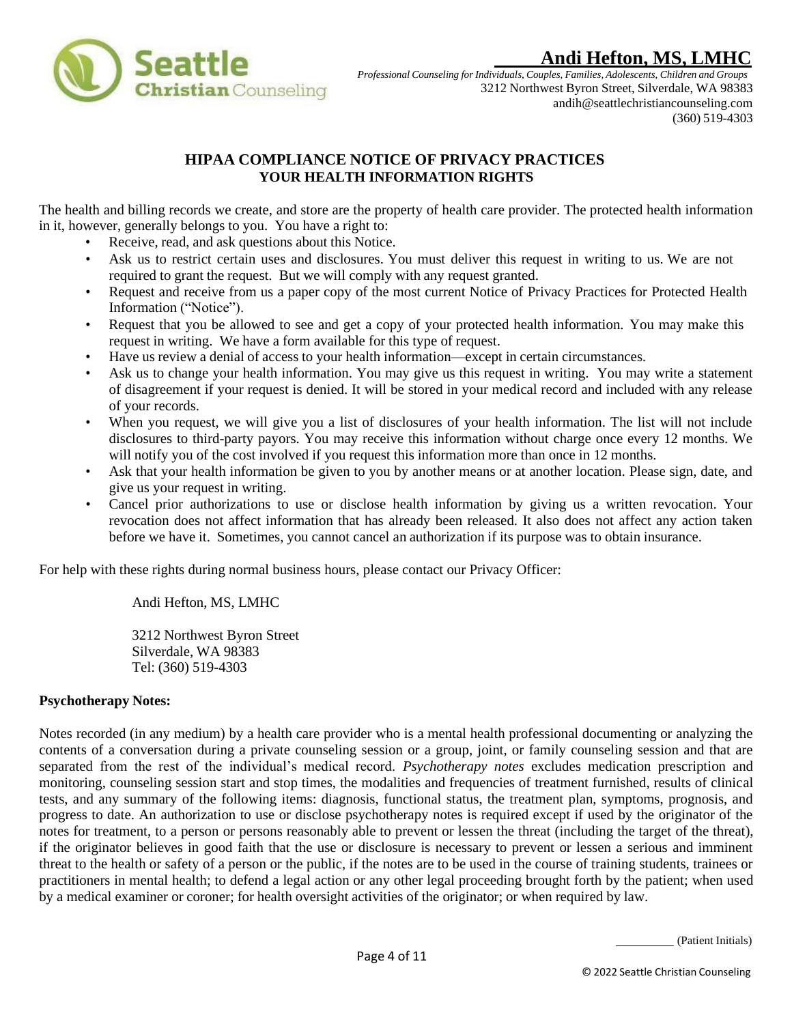

*Professional Counseling forIndividuals, Couples, Families, Adolescents, Children and Groups* 3212 Northwest Byron Street, Silverdale, WA 98383 andih@seattlechristiancounseling.com (360) 519-4303

## **HIPAA COMPLIANCE NOTICE OF PRIVACY PRACTICES YOUR HEALTH INFORMATION RIGHTS**

<span id="page-3-0"></span>The health and billing records we create, and store are the property of health care provider. The protected health information in it, however, generally belongs to you. You have a right to:

- Receive, read, and ask questions about this Notice.
- Ask us to restrict certain uses and disclosures. You must deliver this request in writing to us. We are not required to grant the request. But we will comply with any request granted.
- Request and receive from us a paper copy of the most current Notice of Privacy Practices for Protected Health Information ("Notice").
- Request that you be allowed to see and get a copy of your protected health information. You may make this request in writing. We have a form available for this type of request.
- Have us review a denial of access to your health information—except in certain circumstances.
- Ask us to change your health information. You may give us this request in writing. You may write a statement of disagreement if your request is denied. It will be stored in your medical record and included with any release of your records.
- When you request, we will give you a list of disclosures of your health information. The list will not include disclosures to third-party payors. You may receive this information without charge once every 12 months. We will notify you of the cost involved if you request this information more than once in 12 months.
- Ask that your health information be given to you by another means or at another location. Please sign, date, and give us your request in writing.
- Cancel prior authorizations to use or disclose health information by giving us a written revocation. Your revocation does not affect information that has already been released. It also does not affect any action taken before we have it. Sometimes, you cannot cancel an authorization if its purpose was to obtain insurance.

For help with these rights during normal business hours, please contact our Privacy Officer:

Andi Hefton, MS, LMHC

3212 Northwest Byron Street Silverdale, WA 98383 Tel: (360) 519-4303

## **Psychotherapy Notes:**

Notes recorded (in any medium) by a health care provider who is a mental health professional documenting or analyzing the contents of a conversation during a private counseling session or a group, joint, or family counseling session and that are separated from the rest of the individual's medical record. *Psychotherapy notes* excludes medication prescription and monitoring, counseling session start and stop times, the modalities and frequencies of treatment furnished, results of clinical tests, and any summary of the following items: diagnosis, functional status, the treatment plan, symptoms, prognosis, and progress to date. An authorization to use or disclose psychotherapy notes is required except if used by the originator of the notes for treatment, to a person or persons reasonably able to prevent or lessen the threat (including the target of the threat), if the originator believes in good faith that the use or disclosure is necessary to prevent or lessen a serious and imminent threat to the health or safety of a person or the public, if the notes are to be used in the course of training students, trainees or practitioners in mental health; to defend a legal action or any other legal proceeding brought forth by the patient; when used by a medical examiner or coroner; for health oversight activities of the originator; or when required by law.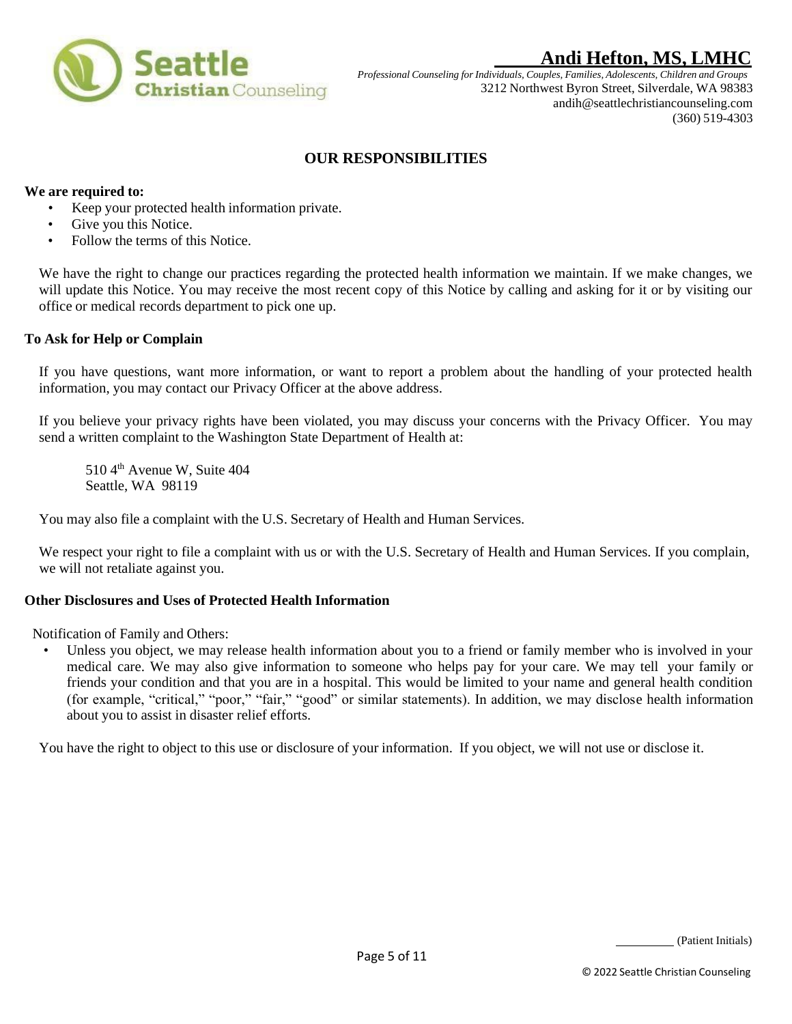

*Professional Counseling forIndividuals, Couples, Families, Adolescents, Children and Groups* 3212 Northwest Byron Street, Silverdale, WA 98383 andih@seattlechristiancounseling.com (360) 519-4303

## **OUR RESPONSIBILITIES**

### <span id="page-4-0"></span>**We are required to:**

- Keep your protected health information private.
- Give you this Notice.
- Follow the terms of this Notice.

We have the right to change our practices regarding the protected health information we maintain. If we make changes, we will update this Notice. You may receive the most recent copy of this Notice by calling and asking for it or by visiting our office or medical records department to pick one up.

#### **To Ask for Help or Complain**

If you have questions, want more information, or want to report a problem about the handling of your protected health information, you may contact our Privacy Officer at the above address.

If you believe your privacy rights have been violated, you may discuss your concerns with the Privacy Officer. You may send a written complaint to the Washington State Department of Health at:

510 4<sup>th</sup> Avenue W, Suite 404 Seattle, WA 98119

You may also file a complaint with the U.S. Secretary of Health and Human Services.

We respect your right to file a complaint with us or with the U.S. Secretary of Health and Human Services. If you complain, we will not retaliate against you.

#### **Other Disclosures and Uses of Protected Health Information**

Notification of Family and Others:

• Unless you object, we may release health information about you to a friend or family member who is involved in your medical care. We may also give information to someone who helps pay for your care. We may tell your family or friends your condition and that you are in a hospital. This would be limited to your name and general health condition (for example, "critical," "poor," "fair," "good" or similar statements). In addition, we may disclose health information about you to assist in disaster relief efforts.

You have the right to object to this use or disclosure of your information. If you object, we will not use or disclose it.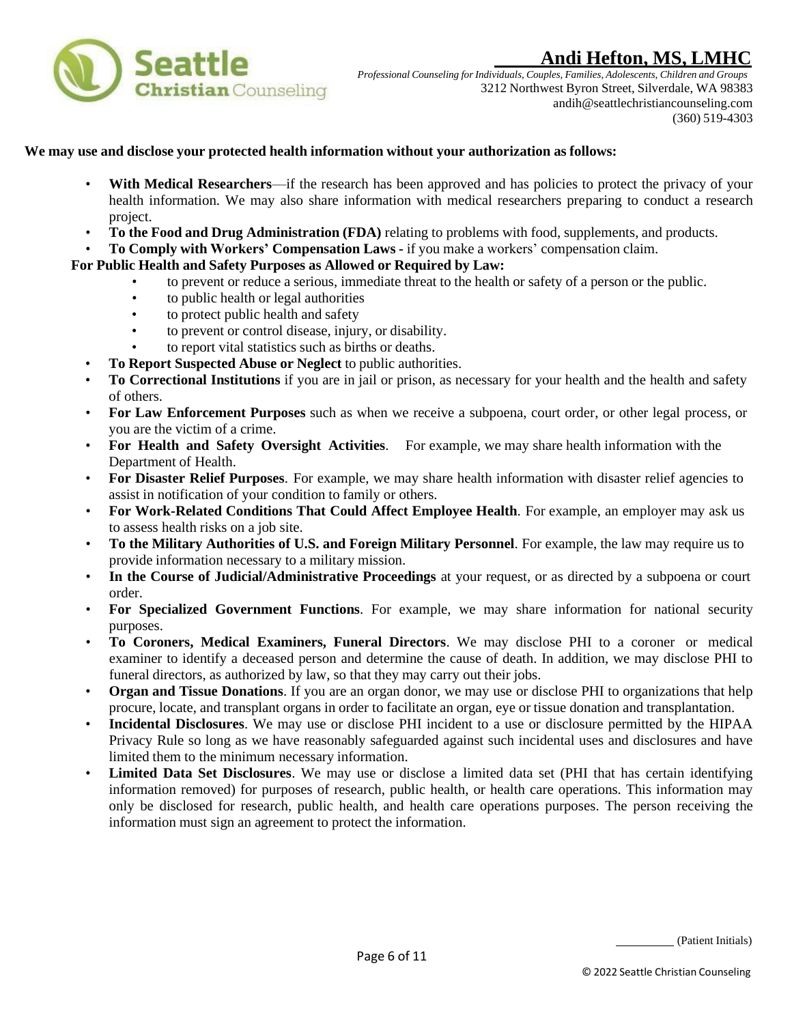

*Professional Counseling forIndividuals, Couples, Families, Adolescents, Children and Groups* 3212 Northwest Byron Street, Silverdale, WA 98383 andih@seattlechristiancounseling.com (360) 519-4303

#### **We may use and disclose your protected health information without your authorization as follows:**

- **With Medical Researchers—if the research has been approved and has policies to protect the privacy of your** health information. We may also share information with medical researchers preparing to conduct a research project.
- **To the Food and Drug Administration (FDA)** relating to problems with food, supplements, and products.
- **To Comply with Workers' Compensation Laws -** if you make a workers' compensation claim.

#### **For Public Health and Safety Purposes as Allowed or Required by Law:**

- to prevent or reduce a serious, immediate threat to the health or safety of a person or the public.
- to public health or legal authorities
- to protect public health and safety
- to prevent or control disease, injury, or disability.
- to report vital statistics such as births or deaths.
- **To Report Suspected Abuse or Neglect** to public authorities.
- **To Correctional Institutions** if you are in jail or prison, as necessary for your health and the health and safety of others.
- **For Law Enforcement Purposes** such as when we receive a subpoena, court order, or other legal process, or you are the victim of a crime.
- **For Health and Safety Oversight Activities**. For example, we may share health information with the Department of Health.
- **For Disaster Relief Purposes**. For example, we may share health information with disaster relief agencies to assist in notification of your condition to family or others.
- **For Work-Related Conditions That Could Affect Employee Health**. For example, an employer may ask us to assess health risks on a job site.
- **To the Military Authorities of U.S. and Foreign Military Personnel**. For example, the law may require us to provide information necessary to a military mission.
- **In the Course of Judicial/Administrative Proceedings** at your request, or as directed by a subpoena or court order.
- **For Specialized Government Functions**. For example, we may share information for national security purposes.
- **To Coroners, Medical Examiners, Funeral Directors**. We may disclose PHI to a coroner or medical examiner to identify a deceased person and determine the cause of death. In addition, we may disclose PHI to funeral directors, as authorized by law, so that they may carry out their jobs.
- **Organ and Tissue Donations**. If you are an organ donor, we may use or disclose PHI to organizations that help procure, locate, and transplant organs in order to facilitate an organ, eye or tissue donation and transplantation.
- **Incidental Disclosures**. We may use or disclose PHI incident to a use or disclosure permitted by the HIPAA Privacy Rule so long as we have reasonably safeguarded against such incidental uses and disclosures and have limited them to the minimum necessary information.
- **Limited Data Set Disclosures**. We may use or disclose a limited data set (PHI that has certain identifying information removed) for purposes of research, public health, or health care operations. This information may only be disclosed for research, public health, and health care operations purposes. The person receiving the information must sign an agreement to protect the information.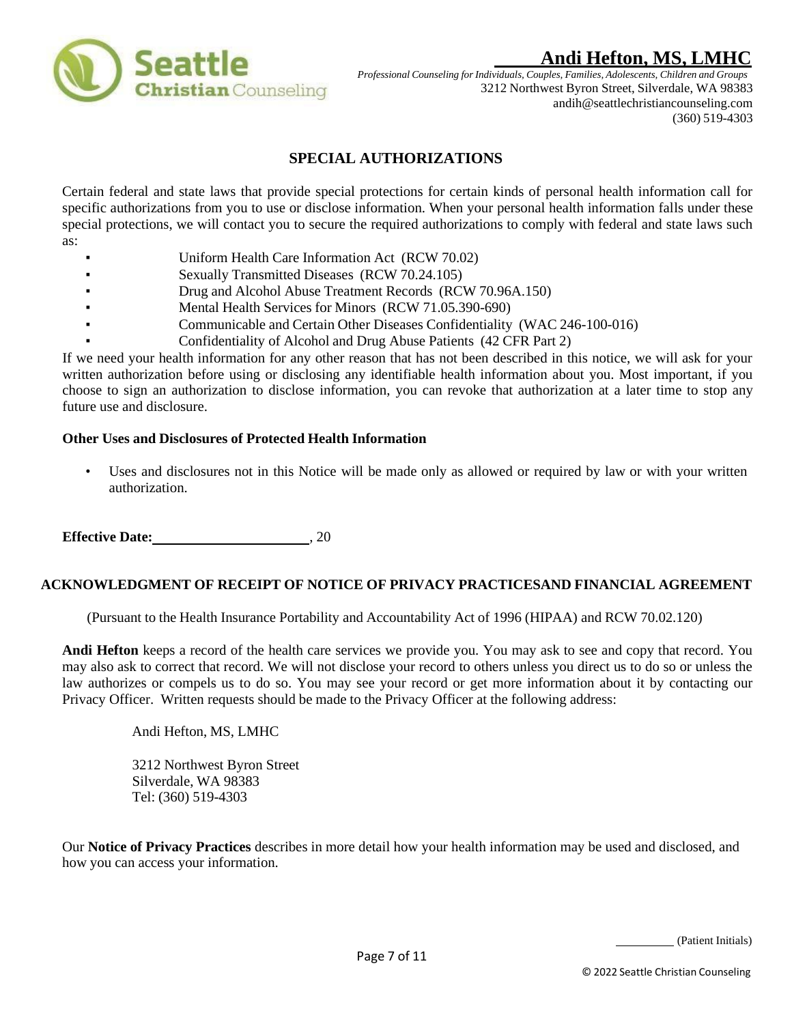

*Professional Counseling forIndividuals, Couples, Families, Adolescents, Children and Groups* 3212 Northwest Byron Street, Silverdale, WA 98383 andih@seattlechristiancounseling.com (360) 519-4303

## **SPECIAL AUTHORIZATIONS**

<span id="page-6-0"></span>Certain federal and state laws that provide special protections for certain kinds of personal health information call for specific authorizations from you to use or disclose information. When your personal health information falls under these special protections, we will contact you to secure the required authorizations to comply with federal and state laws such as:

- Uniform Health Care Information Act (RCW 70.02)
- Sexually Transmitted Diseases (RCW 70.24.105)
- Drug and Alcohol Abuse Treatment Records (RCW 70.96A.150)
- Mental Health Services for Minors (RCW 71.05.390-690)
- Communicable and Certain Other Diseases Confidentiality (WAC 246-100-016)
- Confidentiality of Alcohol and Drug Abuse Patients (42 CFR Part 2)

If we need your health information for any other reason that has not been described in this notice, we will ask for your written authorization before using or disclosing any identifiable health information about you. Most important, if you choose to sign an authorization to disclose information, you can revoke that authorization at a later time to stop any future use and disclosure.

#### **Other Uses and Disclosures of Protected Health Information**

Uses and disclosures not in this Notice will be made only as allowed or required by law or with your written authorization.

**Effective Date:** 30, 20

### **ACKNOWLEDGMENT OF RECEIPT OF NOTICE OF PRIVACY PRACTICESAND FINANCIAL AGREEMENT**

(Pursuant to the Health Insurance Portability and Accountability Act of 1996 (HIPAA) and RCW 70.02.120)

**Andi Hefton** keeps a record of the health care services we provide you. You may ask to see and copy that record. You may also ask to correct that record. We will not disclose your record to others unless you direct us to do so or unless the law authorizes or compels us to do so. You may see your record or get more information about it by contacting our Privacy Officer. Written requests should be made to the Privacy Officer at the following address:

Andi Hefton, MS, LMHC

3212 Northwest Byron Street Silverdale, WA 98383 Tel: (360) 519-4303

Our **Notice of Privacy Practices** describes in more detail how your health information may be used and disclosed, and how you can access your information.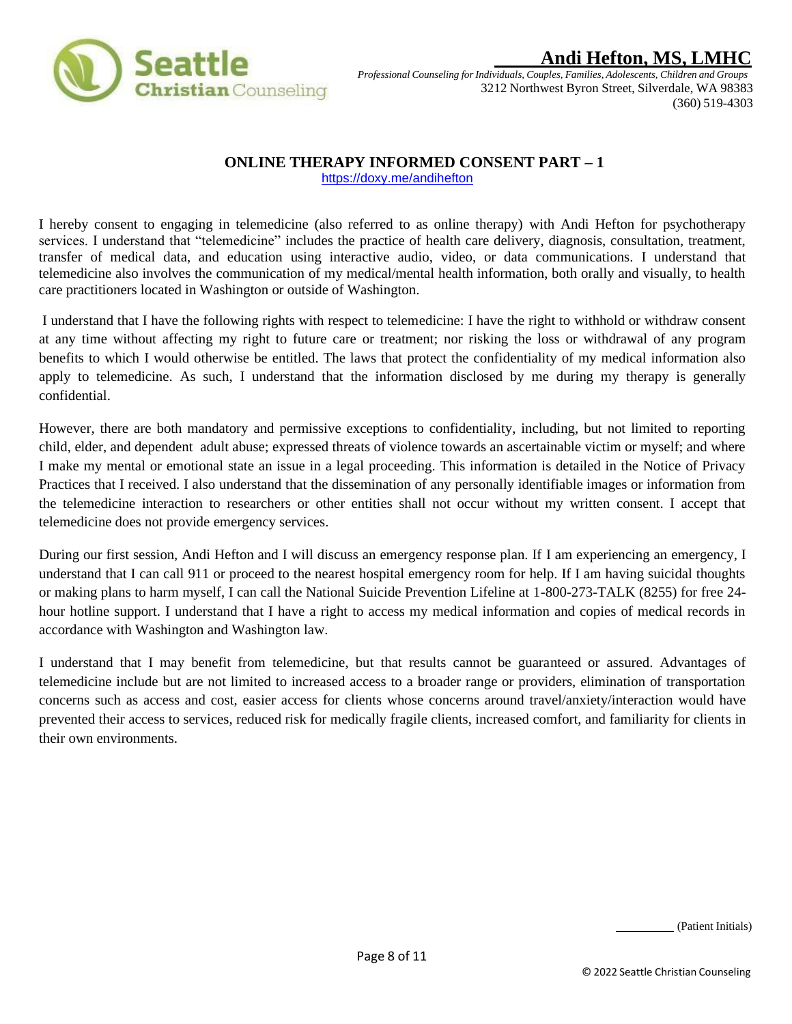

# $\boldsymbol{\mathrm{Andi}}$  **Hefton, MS, LMH**

*Professional Counseling forIndividuals, Couples, Families, Adolescents, Children and Groups* 3212 Northwest Byron Street, Silverdale, WA 98383 (360) 519-4303

## <span id="page-7-0"></span> **ONLINE THERAPY INFORMED CONSENT PART – 1**

<https://doxy.me/andihefton>

I hereby consent to engaging in telemedicine (also referred to as online therapy) with Andi Hefton for psychotherapy services. I understand that "telemedicine" includes the practice of health care delivery, diagnosis, consultation, treatment, transfer of medical data, and education using interactive audio, video, or data communications. I understand that telemedicine also involves the communication of my medical/mental health information, both orally and visually, to health care practitioners located in Washington or outside of Washington.

I understand that I have the following rights with respect to telemedicine: I have the right to withhold or withdraw consent at any time without affecting my right to future care or treatment; nor risking the loss or withdrawal of any program benefits to which I would otherwise be entitled. The laws that protect the confidentiality of my medical information also apply to telemedicine. As such, I understand that the information disclosed by me during my therapy is generally confidential.

However, there are both mandatory and permissive exceptions to confidentiality, including, but not limited to reporting child, elder, and dependent adult abuse; expressed threats of violence towards an ascertainable victim or myself; and where I make my mental or emotional state an issue in a legal proceeding. This information is detailed in the Notice of Privacy Practices that I received. I also understand that the dissemination of any personally identifiable images or information from the telemedicine interaction to researchers or other entities shall not occur without my written consent. I accept that telemedicine does not provide emergency services.

During our first session, Andi Hefton and I will discuss an emergency response plan. If I am experiencing an emergency, I understand that I can call 911 or proceed to the nearest hospital emergency room for help. If I am having suicidal thoughts or making plans to harm myself, I can call the National Suicide Prevention Lifeline at 1-800-273-TALK (8255) for free 24 hour hotline support. I understand that I have a right to access my medical information and copies of medical records in accordance with Washington and Washington law.

I understand that I may benefit from telemedicine, but that results cannot be guaranteed or assured. Advantages of telemedicine include but are not limited to increased access to a broader range or providers, elimination of transportation concerns such as access and cost, easier access for clients whose concerns around travel/anxiety/interaction would have prevented their access to services, reduced risk for medically fragile clients, increased comfort, and familiarity for clients in their own environments.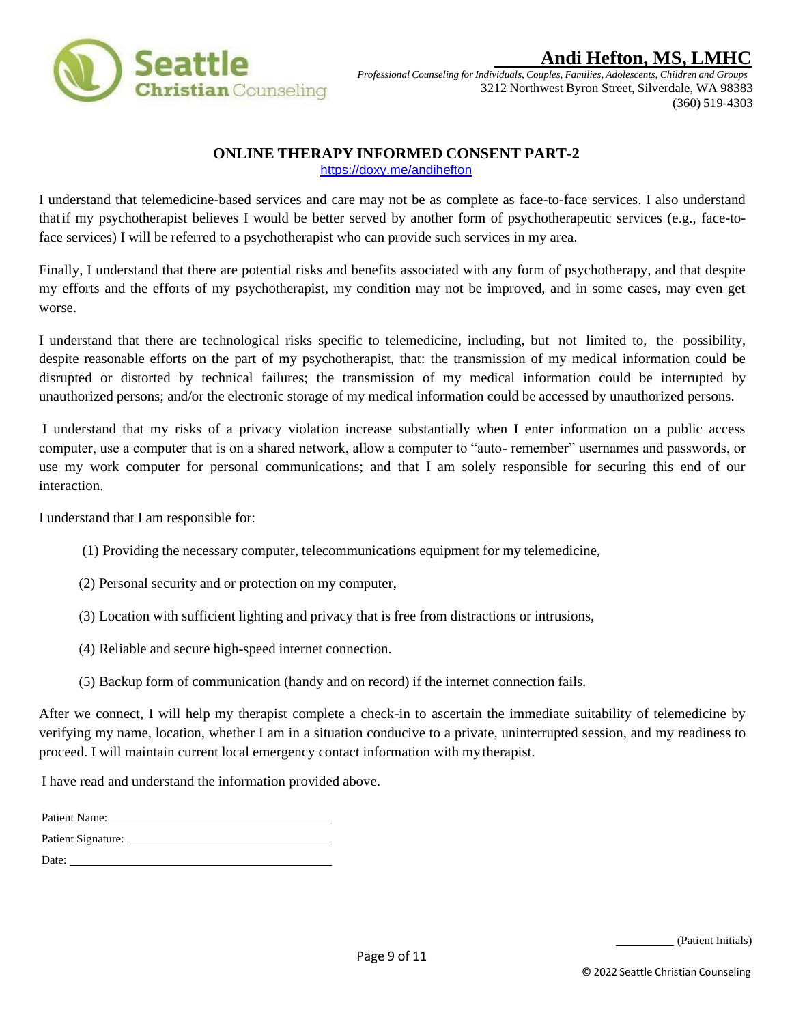<span id="page-8-0"></span>

*Professional Counseling forIndividuals, Couples, Families, Adolescents, Children and Groups* 3212 Northwest Byron Street, Silverdale, WA 98383 (360) 519-4303

### **ONLINE THERAPY INFORMED CONSENT PART-2**

<https://doxy.me/andihefton>

I understand that telemedicine-based services and care may not be as complete as face-to-face services. I also understand thatif my psychotherapist believes I would be better served by another form of psychotherapeutic services (e.g., face-toface services) I will be referred to a psychotherapist who can provide such services in my area.

Finally, I understand that there are potential risks and benefits associated with any form of psychotherapy, and that despite my efforts and the efforts of my psychotherapist, my condition may not be improved, and in some cases, may even get worse.

I understand that there are technological risks specific to telemedicine, including, but not limited to, the possibility, despite reasonable efforts on the part of my psychotherapist, that: the transmission of my medical information could be disrupted or distorted by technical failures; the transmission of my medical information could be interrupted by unauthorized persons; and/or the electronic storage of my medical information could be accessed by unauthorized persons.

I understand that my risks of a privacy violation increase substantially when I enter information on a public access computer, use a computer that is on a shared network, allow a computer to "auto- remember" usernames and passwords, or use my work computer for personal communications; and that I am solely responsible for securing this end of our interaction.

I understand that I am responsible for:

- (1) Providing the necessary computer, telecommunications equipment for my telemedicine,
- (2) Personal security and or protection on my computer,
- (3) Location with sufficient lighting and privacy that is free from distractions or intrusions,
- (4) Reliable and secure high-speed internet connection.
- (5) Backup form of communication (handy and on record) if the internet connection fails.

After we connect, I will help my therapist complete a check-in to ascertain the immediate suitability of telemedicine by verifying my name, location, whether I am in a situation conducive to a private, uninterrupted session, and my readiness to proceed. I will maintain current local emergency contact information with my therapist.

I have read and understand the information provided above.

| Patient Name:      |
|--------------------|
| Patient Signature: |
| Date:              |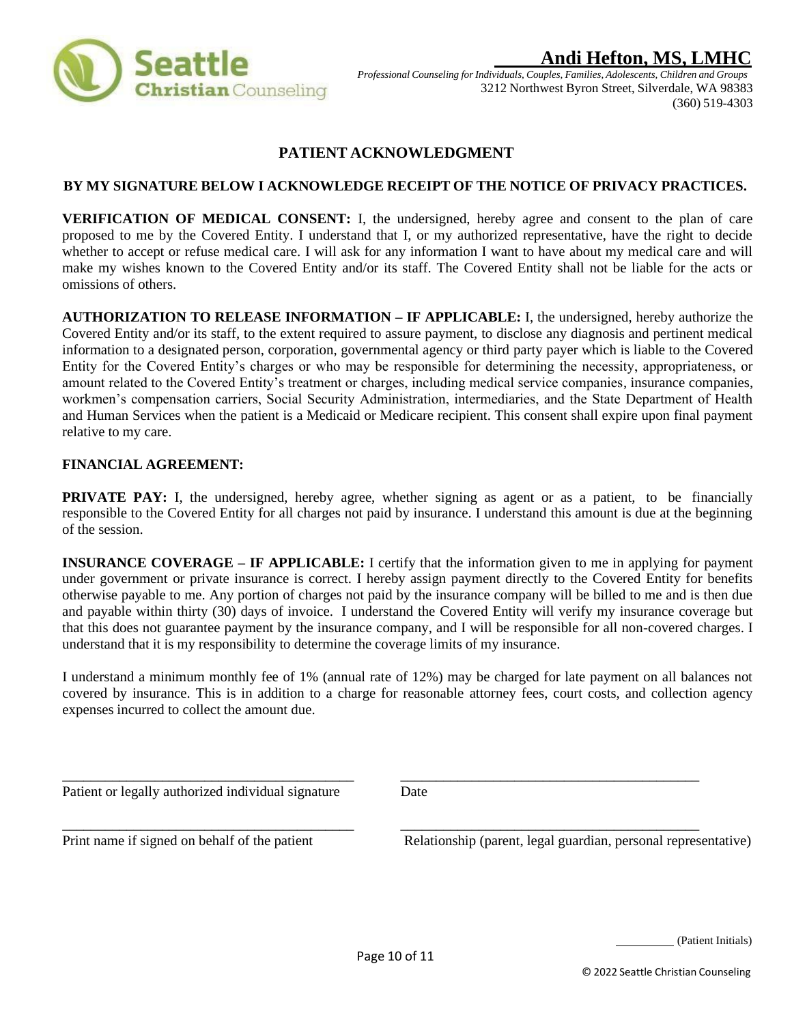<span id="page-9-0"></span>

*Professional Counseling forIndividuals, Couples, Families, Adolescents, Children and Groups* 3212 Northwest Byron Street, Silverdale, WA 98383 (360) 519-4303

## **PATIENT ACKNOWLEDGMENT**

### **BY MY SIGNATURE BELOW I ACKNOWLEDGE RECEIPT OF THE NOTICE OF PRIVACY PRACTICES.**

**VERIFICATION OF MEDICAL CONSENT:** I, the undersigned, hereby agree and consent to the plan of care proposed to me by the Covered Entity. I understand that I, or my authorized representative, have the right to decide whether to accept or refuse medical care. I will ask for any information I want to have about my medical care and will make my wishes known to the Covered Entity and/or its staff. The Covered Entity shall not be liable for the acts or omissions of others.

**AUTHORIZATION TO RELEASE INFORMATION – IF APPLICABLE:** I, the undersigned, hereby authorize the Covered Entity and/or its staff, to the extent required to assure payment, to disclose any diagnosis and pertinent medical information to a designated person, corporation, governmental agency or third party payer which is liable to the Covered Entity for the Covered Entity's charges or who may be responsible for determining the necessity, appropriateness, or amount related to the Covered Entity's treatment or charges, including medical service companies, insurance companies, workmen's compensation carriers, Social Security Administration, intermediaries, and the State Department of Health and Human Services when the patient is a Medicaid or Medicare recipient. This consent shall expire upon final payment relative to my care.

#### **FINANCIAL AGREEMENT:**

**PRIVATE PAY:** I, the undersigned, hereby agree, whether signing as agent or as a patient, to be financially responsible to the Covered Entity for all charges not paid by insurance. I understand this amount is due at the beginning of the session.

**INSURANCE COVERAGE – IF APPLICABLE:** I certify that the information given to me in applying for payment under government or private insurance is correct. I hereby assign payment directly to the Covered Entity for benefits otherwise payable to me. Any portion of charges not paid by the insurance company will be billed to me and is then due and payable within thirty (30) days of invoice. I understand the Covered Entity will verify my insurance coverage but that this does not guarantee payment by the insurance company, and I will be responsible for all non-covered charges. I understand that it is my responsibility to determine the coverage limits of my insurance.

I understand a minimum monthly fee of 1% (annual rate of 12%) may be charged for late payment on all balances not covered by insurance. This is in addition to a charge for reasonable attorney fees, court costs, and collection agency expenses incurred to collect the amount due.

Patient or legally authorized individual signature Date

\_\_\_\_\_\_\_\_\_\_\_\_\_\_\_\_\_\_\_\_\_\_\_\_\_\_\_\_\_\_\_\_\_\_\_\_\_\_\_\_\_ \_\_\_\_\_\_\_\_\_\_\_\_\_\_\_\_\_\_\_\_\_\_\_\_\_\_\_\_\_\_\_\_\_\_\_\_\_\_\_\_\_\_

\_\_\_\_\_\_\_\_\_\_\_\_\_\_\_\_\_\_\_\_\_\_\_\_\_\_\_\_\_\_\_\_\_\_\_\_\_\_\_\_\_ \_\_\_\_\_\_\_\_\_\_\_\_\_\_\_\_\_\_\_\_\_\_\_\_\_\_\_\_\_\_\_\_\_\_\_\_\_\_\_\_\_\_

Print name if signed on behalf of the patient Relationship (parent, legal guardian, personal representative)